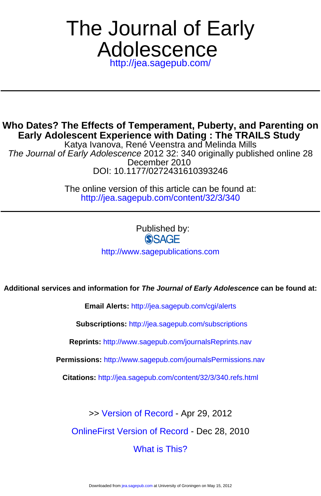# <http://jea.sagepub.com/> Adolescence The Journal of Early

Katya Ivanova, René Veenstra and Melinda Mills **Early Adolescent Experience with Dating : The TRAILS Study Who Dates? The Effects of Temperament, Puberty, and Parenting on**

DOI: 10.1177/0272431610393246 December 2010 The Journal of Early Adolescence 2012 32: 340 originally published online 28

> <http://jea.sagepub.com/content/32/3/340> The online version of this article can be found at:

> > Published by:<br>
> > SAGE <http://www.sagepublications.com>

**Additional services and information for The Journal of Early Adolescence can be found at:**

**Email Alerts:** <http://jea.sagepub.com/cgi/alerts>

**Subscriptions:** <http://jea.sagepub.com/subscriptions>

**Reprints:** <http://www.sagepub.com/journalsReprints.nav>

**Permissions:** <http://www.sagepub.com/journalsPermissions.nav>

**Citations:** <http://jea.sagepub.com/content/32/3/340.refs.html>

>> [Version of Record -](http://jea.sagepub.com/content/32/3/340.full.pdf) Apr 29, 2012

[OnlineFirst Version of Record](http://jea.sagepub.com/content/early/2010/12/28/0272431610393246.full.pdf) - Dec 28, 2010

# [What is This?](http://online.sagepub.com/site/sphelp/vorhelp.xhtml)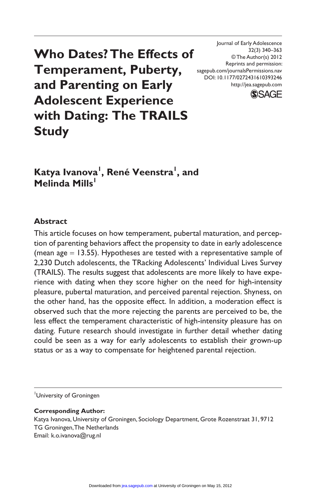**Who Dates? The Effects of Temperament, Puberty, and Parenting on Early Adolescent Experience with Dating: The TRAILS Study**

Journal of Early Adolescence 32(3) 340–363 © The Author(s) 2012 Reprints and permission: sagepub.com/journalsPermissions.nav DOI: 10.1177/0272431610393246 http://jea.sagepub.com



Katya Ivanova<sup>l</sup>, René Veenstra<sup>l</sup>, and Melinda Mills<sup>1</sup>

#### **Abstract**

This article focuses on how temperament, pubertal maturation, and perception of parenting behaviors affect the propensity to date in early adolescence (mean age  $= 13.55$ ). Hypotheses are tested with a representative sample of 2,230 Dutch adolescents, the TRacking Adolescents' Individual Lives Survey (TRAILS). The results suggest that adolescents are more likely to have experience with dating when they score higher on the need for high-intensity pleasure, pubertal maturation, and perceived parental rejection. Shyness, on the other hand, has the opposite effect. In addition, a moderation effect is observed such that the more rejecting the parents are perceived to be, the less effect the temperament characteristic of high-intensity pleasure has on dating. Future research should investigate in further detail whether dating could be seen as a way for early adolescents to establish their grown-up status or as a way to compensate for heightened parental rejection.

University of Groningen

#### **Corresponding Author:**

Katya Ivanova, University of Groningen, Sociology Department, Grote Rozenstraat 31, 9712 TG Groningen, The Netherlands Email: k.o.ivanova@rug.nl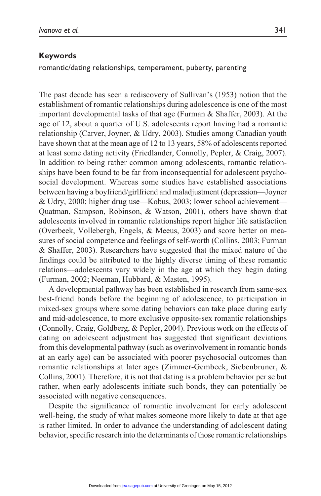#### **Keywords**

romantic/dating relationships, temperament, puberty, parenting

The past decade has seen a rediscovery of Sullivan's (1953) notion that the establishment of romantic relationships during adolescence is one of the most important developmental tasks of that age (Furman & Shaffer, 2003). At the age of 12, about a quarter of U.S. adolescents report having had a romantic relationship (Carver, Joyner, & Udry, 2003). Studies among Canadian youth have shown that at the mean age of 12 to 13 years, 58% of adolescents reported at least some dating activity (Friedlander, Connolly, Pepler, & Craig, 2007). In addition to being rather common among adolescents, romantic relationships have been found to be far from inconsequential for adolescent psychosocial development. Whereas some studies have established associations between having a boyfriend/girlfriend and maladjustment (depression—Joyner & Udry, 2000; higher drug use—Kobus, 2003; lower school achievement— Quatman, Sampson, Robinson, & Watson, 2001), others have shown that adolescents involved in romantic relationships report higher life satisfaction (Overbeek, Vollebergh, Engels, & Meeus, 2003) and score better on measures of social competence and feelings of self-worth (Collins, 2003; Furman & Shaffer, 2003). Researchers have suggested that the mixed nature of the findings could be attributed to the highly diverse timing of these romantic relations—adolescents vary widely in the age at which they begin dating (Furman, 2002; Neeman, Hubbard, & Masten, 1995).

A developmental pathway has been established in research from same-sex best-friend bonds before the beginning of adolescence, to participation in mixed-sex groups where some dating behaviors can take place during early and mid-adolescence, to more exclusive opposite-sex romantic relationships (Connolly, Craig, Goldberg, & Pepler, 2004). Previous work on the effects of dating on adolescent adjustment has suggested that significant deviations from this developmental pathway (such as overinvolvement in romantic bonds at an early age) can be associated with poorer psychosocial outcomes than romantic relationships at later ages (Zimmer-Gembeck, Siebenbruner, & Collins, 2001). Therefore, it is not that dating is a problem behavior per se but rather, when early adolescents initiate such bonds, they can potentially be associated with negative consequences.

Despite the significance of romantic involvement for early adolescent well-being, the study of what makes someone more likely to date at that age is rather limited. In order to advance the understanding of adolescent dating behavior, specific research into the determinants of those romantic relationships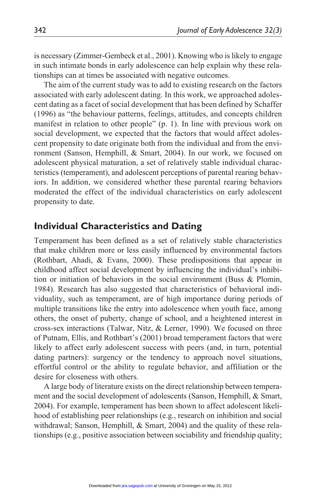is necessary (Zimmer-Gembeck et al., 2001). Knowing who is likely to engage in such intimate bonds in early adolescence can help explain why these relationships can at times be associated with negative outcomes.

The aim of the current study was to add to existing research on the factors associated with early adolescent dating. In this work, we approached adolescent dating as a facet of social development that has been defined by Schaffer (1996) as "the behaviour patterns, feelings, attitudes, and concepts children manifest in relation to other people" (p. 1). In line with previous work on social development, we expected that the factors that would affect adolescent propensity to date originate both from the individual and from the environment (Sanson, Hemphill, & Smart, 2004). In our work, we focused on adolescent physical maturation, a set of relatively stable individual characteristics (temperament), and adolescent perceptions of parental rearing behaviors. In addition, we considered whether these parental rearing behaviors moderated the effect of the individual characteristics on early adolescent propensity to date.

## **Individual Characteristics and Dating**

Temperament has been defined as a set of relatively stable characteristics that make children more or less easily influenced by environmental factors (Rothbart, Ahadi, & Evans, 2000). These predispositions that appear in childhood affect social development by influencing the individual's inhibition or initiation of behaviors in the social environment (Buss & Plomin, 1984). Research has also suggested that characteristics of behavioral individuality, such as temperament, are of high importance during periods of multiple transitions like the entry into adolescence when youth face, among others, the onset of puberty, change of school, and a heightened interest in cross-sex interactions (Talwar, Nitz, & Lerner, 1990). We focused on three of Putnam, Ellis, and Rothbart's (2001) broad temperament factors that were likely to affect early adolescent success with peers (and, in turn, potential dating partners): surgency or the tendency to approach novel situations, effortful control or the ability to regulate behavior, and affiliation or the desire for closeness with others.

A large body of literature exists on the direct relationship between temperament and the social development of adolescents (Sanson, Hemphill, & Smart, 2004). For example, temperament has been shown to affect adolescent likelihood of establishing peer relationships (e.g., research on inhibition and social withdrawal; Sanson, Hemphill, & Smart, 2004) and the quality of these relationships (e.g., positive association between sociability and friendship quality;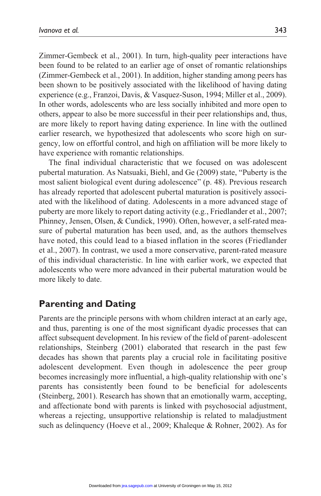Zimmer-Gembeck et al., 2001). In turn, high-quality peer interactions have been found to be related to an earlier age of onset of romantic relationships (Zimmer-Gembeck et al., 2001). In addition, higher standing among peers has been shown to be positively associated with the likelihood of having dating experience (e.g., Franzoi, Davis, & Vasquez-Suson, 1994; Miller et al., 2009). In other words, adolescents who are less socially inhibited and more open to others, appear to also be more successful in their peer relationships and, thus, are more likely to report having dating experience. In line with the outlined earlier research, we hypothesized that adolescents who score high on surgency, low on effortful control, and high on affiliation will be more likely to have experience with romantic relationships.

The final individual characteristic that we focused on was adolescent pubertal maturation. As Natsuaki, Biehl, and Ge (2009) state, "Puberty is the most salient biological event during adolescence" (p. 48). Previous research has already reported that adolescent pubertal maturation is positively associated with the likelihood of dating. Adolescents in a more advanced stage of puberty are more likely to report dating activity (e.g., Friedlander et al., 2007; Phinney, Jensen, Olsen, & Cundick, 1990). Often, however, a self-rated measure of pubertal maturation has been used, and, as the authors themselves have noted, this could lead to a biased inflation in the scores (Friedlander et al., 2007). In contrast, we used a more conservative, parent-rated measure of this individual characteristic. In line with earlier work, we expected that adolescents who were more advanced in their pubertal maturation would be more likely to date.

## **Parenting and Dating**

Parents are the principle persons with whom children interact at an early age, and thus, parenting is one of the most significant dyadic processes that can affect subsequent development. In his review of the field of parent–adolescent relationships, Steinberg (2001) elaborated that research in the past few decades has shown that parents play a crucial role in facilitating positive adolescent development. Even though in adolescence the peer group becomes increasingly more influential, a high-quality relationship with one's parents has consistently been found to be beneficial for adolescents (Steinberg, 2001). Research has shown that an emotionally warm, accepting, and affectionate bond with parents is linked with psychosocial adjustment, whereas a rejecting, unsupportive relationship is related to maladjustment such as delinquency (Hoeve et al., 2009; Khaleque & Rohner, 2002). As for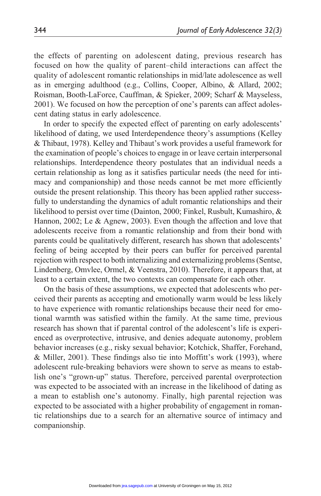the effects of parenting on adolescent dating, previous research has focused on how the quality of parent–child interactions can affect the quality of adolescent romantic relationships in mid/late adolescence as well as in emerging adulthood (e.g., Collins, Cooper, Albino, & Allard, 2002; Roisman, Booth-LaForce, Cauffman, & Spieker, 2009; Scharf & Mayseless, 2001). We focused on how the perception of one's parents can affect adolescent dating status in early adolescence.

In order to specify the expected effect of parenting on early adolescents' likelihood of dating, we used Interdependence theory's assumptions (Kelley & Thibaut, 1978). Kelley and Thibaut's work provides a useful framework for the examination of people's choices to engage in or leave certain interpersonal relationships. Interdependence theory postulates that an individual needs a certain relationship as long as it satisfies particular needs (the need for intimacy and companionship) and those needs cannot be met more efficiently outside the present relationship. This theory has been applied rather successfully to understanding the dynamics of adult romantic relationships and their likelihood to persist over time (Dainton, 2000; Finkel, Rusbult, Kumashiro, & Hannon, 2002; Le & Agnew, 2003). Even though the affection and love that adolescents receive from a romantic relationship and from their bond with parents could be qualitatively different, research has shown that adolescents' feeling of being accepted by their peers can buffer for perceived parental rejection with respect to both internalizing and externalizing problems (Sentse, Lindenberg, Omvlee, Ormel, & Veenstra, 2010). Therefore, it appears that, at least to a certain extent, the two contexts can compensate for each other.

On the basis of these assumptions, we expected that adolescents who perceived their parents as accepting and emotionally warm would be less likely to have experience with romantic relationships because their need for emotional warmth was satisfied within the family. At the same time, previous research has shown that if parental control of the adolescent's life is experienced as overprotective, intrusive, and denies adequate autonomy, problem behavior increases (e.g., risky sexual behavior; Kotchick, Shaffer, Forehand, & Miller, 2001). These findings also tie into Moffitt's work (1993), where adolescent rule-breaking behaviors were shown to serve as means to establish one's "grown-up" status. Therefore, perceived parental overprotection was expected to be associated with an increase in the likelihood of dating as a mean to establish one's autonomy. Finally, high parental rejection was expected to be associated with a higher probability of engagement in romantic relationships due to a search for an alternative source of intimacy and companionship.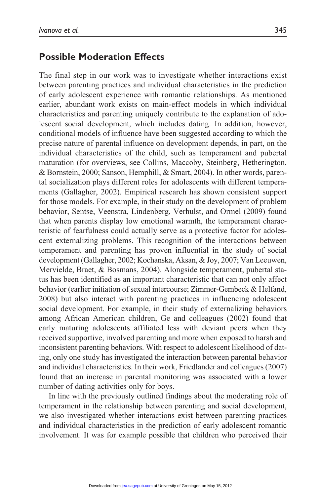## **Possible Moderation Effects**

The final step in our work was to investigate whether interactions exist between parenting practices and individual characteristics in the prediction of early adolescent experience with romantic relationships. As mentioned earlier, abundant work exists on main-effect models in which individual characteristics and parenting uniquely contribute to the explanation of adolescent social development, which includes dating. In addition, however, conditional models of influence have been suggested according to which the precise nature of parental influence on development depends, in part, on the individual characteristics of the child, such as temperament and pubertal maturation (for overviews, see Collins, Maccoby, Steinberg, Hetherington, & Bornstein, 2000; Sanson, Hemphill, & Smart, 2004). In other words, parental socialization plays different roles for adolescents with different temperaments (Gallagher, 2002). Empirical research has shown consistent support for those models. For example, in their study on the development of problem behavior, Sentse, Veenstra, Lindenberg, Verhulst, and Ormel (2009) found that when parents display low emotional warmth, the temperament characteristic of fearfulness could actually serve as a protective factor for adolescent externalizing problems. This recognition of the interactions between temperament and parenting has proven influential in the study of social development (Gallagher, 2002; Kochanska, Aksan, & Joy, 2007; Van Leeuwen, Mervielde, Braet, & Bosmans, 2004). Alongside temperament, pubertal status has been identified as an important characteristic that can not only affect behavior (earlier initiation of sexual intercourse; Zimmer-Gembeck & Helfand, 2008) but also interact with parenting practices in influencing adolescent social development. For example, in their study of externalizing behaviors among African American children, Ge and colleagues (2002) found that early maturing adolescents affiliated less with deviant peers when they received supportive, involved parenting and more when exposed to harsh and inconsistent parenting behaviors. With respect to adolescent likelihood of dating, only one study has investigated the interaction between parental behavior and individual characteristics. In their work, Friedlander and colleagues (2007) found that an increase in parental monitoring was associated with a lower number of dating activities only for boys.

In line with the previously outlined findings about the moderating role of temperament in the relationship between parenting and social development, we also investigated whether interactions exist between parenting practices and individual characteristics in the prediction of early adolescent romantic involvement. It was for example possible that children who perceived their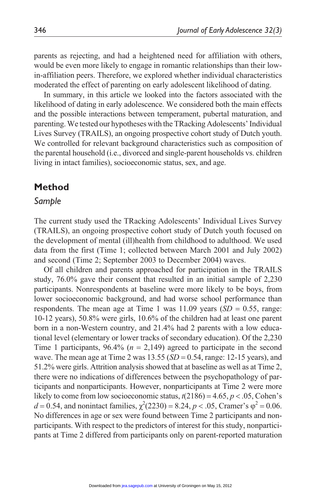parents as rejecting, and had a heightened need for affiliation with others, would be even more likely to engage in romantic relationships than their lowin-affiliation peers. Therefore, we explored whether individual characteristics moderated the effect of parenting on early adolescent likelihood of dating.

In summary, in this article we looked into the factors associated with the likelihood of dating in early adolescence. We considered both the main effects and the possible interactions between temperament, pubertal maturation, and parenting. We tested our hypotheses with the TRacking Adolescents' Individual Lives Survey (TRAILS), an ongoing prospective cohort study of Dutch youth. We controlled for relevant background characteristics such as composition of the parental household (i.e., divorced and single-parent households vs. children living in intact families), socioeconomic status, sex, and age.

## **Method**

#### *Sample*

The current study used the TRacking Adolescents' Individual Lives Survey (TRAILS), an ongoing prospective cohort study of Dutch youth focused on the development of mental (ill)health from childhood to adulthood. We used data from the first (Time 1; collected between March 2001 and July 2002) and second (Time 2; September 2003 to December 2004) waves.

Of all children and parents approached for participation in the TRAILS study, 76.0% gave their consent that resulted in an initial sample of 2,230 participants. Nonrespondents at baseline were more likely to be boys, from lower socioeconomic background, and had worse school performance than respondents. The mean age at Time 1 was  $11.09$  years  $(SD = 0.55$ , range: 10-12 years), 50.8% were girls, 10.6% of the children had at least one parent born in a non-Western country, and 21.4% had 2 parents with a low educational level (elementary or lower tracks of secondary education). Of the 2,230 Time 1 participants,  $96.4\%$  ( $n = 2,149$ ) agreed to participate in the second wave. The mean age at Time 2 was  $13.55$   $(SD = 0.54$ , range: 12-15 years), and 51.2% were girls. Attrition analysis showed that at baseline as well as at Time 2, there were no indications of differences between the psychopathology of participants and nonparticipants. However, nonparticipants at Time 2 were more likely to come from low socioeconomic status,  $t(2186) = 4.65$ ,  $p < .05$ , Cohen's  $d = 0.54$ , and nonintact families,  $\chi^2(2230) = 8.24$ ,  $p < .05$ , Cramer's  $\varphi^2 = 0.06$ . No differences in age or sex were found between Time 2 participants and nonparticipants. With respect to the predictors of interest for this study, nonparticipants at Time 2 differed from participants only on parent-reported maturation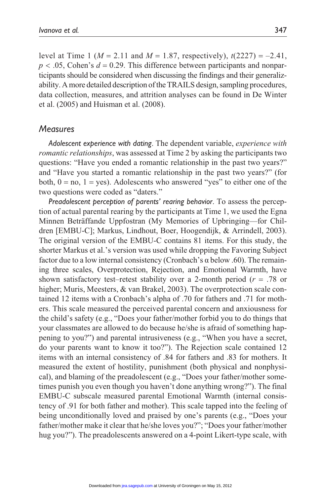level at Time 1 ( $M = 2.11$  and  $M = 1.87$ , respectively),  $t(2227) = -2.41$ ,  $p < .05$ , Cohen's  $d = 0.29$ . This difference between participants and nonparticipants should be considered when discussing the findings and their generalizability. A more detailed description of the TRAILS design, sampling procedures, data collection, measures, and attrition analyses can be found in De Winter et al. (2005) and Huisman et al. (2008).

### *Measures*

*Adolescent experience with dating*. The dependent variable, *experience with romantic relationships*, was assessed at Time 2 by asking the participants two questions: "Have you ended a romantic relationship in the past two years?" and "Have you started a romantic relationship in the past two years?" (for both,  $0 = no$ ,  $1 = yes$ ). Adolescents who answered "yes" to either one of the two questions were coded as "daters."

*Preadolescent perception of parents' rearing behavior*. To assess the perception of actual parental rearing by the participants at Time 1, we used the Egna Minnen Beträffande Uppfostran (My Memories of Upbringing—for Children [EMBU-C]; Markus, Lindhout, Boer, Hoogendijk, & Arrindell, 2003). The original version of the EMBU-C contains 81 items. For this study, the shorter Markus et al.'s version was used while dropping the Favoring Subject factor due to a low internal consistency (Cronbach's  $\alpha$  below .60). The remaining three scales, Overprotection, Rejection, and Emotional Warmth, have shown satisfactory test–retest stability over a 2-month period (*r* = .78 or higher; Muris, Meesters, & van Brakel, 2003). The overprotection scale contained 12 items with a Cronbach's alpha of .70 for fathers and .71 for mothers. This scale measured the perceived parental concern and anxiousness for the child's safety (e.g., "Does your father/mother forbid you to do things that your classmates are allowed to do because he/she is afraid of something happening to you?") and parental intrusiveness (e.g., "When you have a secret, do your parents want to know it too?"). The Rejection scale contained 12 items with an internal consistency of .84 for fathers and .83 for mothers. It measured the extent of hostility, punishment (both physical and nonphysical), and blaming of the preadolescent (e.g., "Does your father/mother sometimes punish you even though you haven't done anything wrong?"). The final EMBU-C subscale measured parental Emotional Warmth (internal consistency of .91 for both father and mother). This scale tapped into the feeling of being unconditionally loved and praised by one's parents (e.g., "Does your father/mother make it clear that he/she loves you?"; "Does your father/mother hug you?"). The preadolescents answered on a 4-point Likert-type scale, with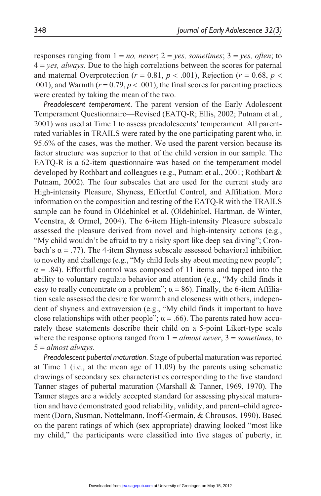responses ranging from  $1 = no$ , *never*;  $2 = yes$ , *sometimes*;  $3 = yes$ , *often*; to 4 = *yes, always*. Due to the high correlations between the scores for paternal and maternal Overprotection ( $r = 0.81$ ,  $p < .001$ ), Rejection ( $r = 0.68$ ,  $p <$ .001), and Warmth  $(r = 0.79, p < .001)$ , the final scores for parenting practices were created by taking the mean of the two.

*Preadolescent temperament*. The parent version of the Early Adolescent Temperament Questionnaire—Revised (EATQ-R; Ellis, 2002; Putnam et al., 2001) was used at Time 1 to assess preadolescents' temperament. All parentrated variables in TRAILS were rated by the one participating parent who, in 95.6% of the cases, was the mother. We used the parent version because its factor structure was superior to that of the child version in our sample. The EATQ-R is a 62-item questionnaire was based on the temperament model developed by Rothbart and colleagues (e.g., Putnam et al., 2001; Rothbart & Putnam, 2002). The four subscales that are used for the current study are High-intensity Pleasure, Shyness, Effortful Control, and Affiliation. More information on the composition and testing of the EATQ-R with the TRAILS sample can be found in Oldehinkel et al. (Oldehinkel, Hartman, de Winter, Veenstra, & Ormel, 2004). The 6-item High-intensity Pleasure subscale assessed the pleasure derived from novel and high-intensity actions (e.g., "My child wouldn't be afraid to try a risky sport like deep sea diving"; Cronbach's  $\alpha = .77$ ). The 4-item Shyness subscale assessed behavioral inhibition to novelty and challenge (e.g., "My child feels shy about meeting new people";  $\alpha$  = .84). Effortful control was composed of 11 items and tapped into the ability to voluntary regulate behavior and attention (e.g., "My child finds it easy to really concentrate on a problem";  $\alpha = 86$ ). Finally, the 6-item Affiliation scale assessed the desire for warmth and closeness with others, independent of shyness and extraversion (e.g., "My child finds it important to have close relationships with other people";  $\alpha = .66$ ). The parents rated how accurately these statements describe their child on a 5-point Likert-type scale where the response options ranged from  $1 = almost never, 3 = sometimes, to$ 5 = *almost always*.

*Preadolescent pubertal maturation*. Stage of pubertal maturation was reported at Time 1 (i.e., at the mean age of 11.09) by the parents using schematic drawings of secondary sex characteristics corresponding to the five standard Tanner stages of pubertal maturation (Marshall & Tanner, 1969, 1970). The Tanner stages are a widely accepted standard for assessing physical maturation and have demonstrated good reliability, validity, and parent–child agreement (Dorn, Susman, Nottelmann, Inoff-Germain, & Chrousos, 1990). Based on the parent ratings of which (sex appropriate) drawing looked "most like my child," the participants were classified into five stages of puberty, in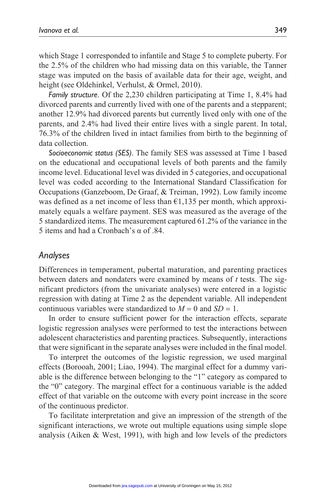which Stage 1 corresponded to infantile and Stage 5 to complete puberty. For the 2.5% of the children who had missing data on this variable, the Tanner stage was imputed on the basis of available data for their age, weight, and height (see Oldehinkel, Verhulst, & Ormel, 2010).

*Family structure*. Of the 2,230 children participating at Time 1, 8.4% had divorced parents and currently lived with one of the parents and a stepparent; another 12.9% had divorced parents but currently lived only with one of the parents, and 2.4% had lived their entire lives with a single parent. In total, 76.3% of the children lived in intact families from birth to the beginning of data collection.

*Socioeconomic status (SES)*. The family SES was assessed at Time 1 based on the educational and occupational levels of both parents and the family income level. Educational level was divided in 5 categories, and occupational level was coded according to the International Standard Classification for Occupations (Ganzeboom, De Graaf, & Treiman, 1992). Low family income was defined as a net income of less than  $\epsilon$ 1,135 per month, which approximately equals a welfare payment. SES was measured as the average of the 5 standardized items. The measurement captured 61.2% of the variance in the 5 items and had a Cronbach's α of .84.

#### *Analyses*

Differences in temperament, pubertal maturation, and parenting practices between daters and nondaters were examined by means of *t* tests. The significant predictors (from the univariate analyses) were entered in a logistic regression with dating at Time 2 as the dependent variable. All independent continuous variables were standardized to  $M = 0$  and  $SD = 1$ .

In order to ensure sufficient power for the interaction effects, separate logistic regression analyses were performed to test the interactions between adolescent characteristics and parenting practices. Subsequently, interactions that were significant in the separate analyses were included in the final model.

To interpret the outcomes of the logistic regression, we used marginal effects (Borooah, 2001; Liao, 1994). The marginal effect for a dummy variable is the difference between belonging to the "1" category as compared to the "0" category. The marginal effect for a continuous variable is the added effect of that variable on the outcome with every point increase in the score of the continuous predictor.

To facilitate interpretation and give an impression of the strength of the significant interactions, we wrote out multiple equations using simple slope analysis (Aiken & West, 1991), with high and low levels of the predictors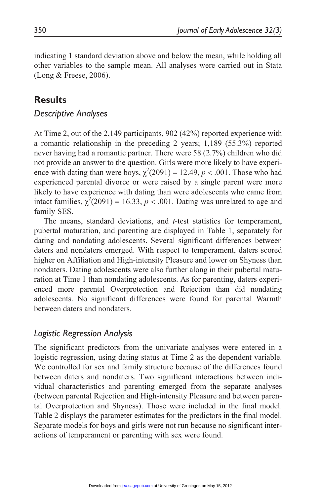indicating 1 standard deviation above and below the mean, while holding all other variables to the sample mean. All analyses were carried out in Stata (Long & Freese, 2006).

# **Results**

## *Descriptive Analyses*

At Time 2, out of the 2,149 participants, 902 (42%) reported experience with a romantic relationship in the preceding 2 years; 1,189 (55.3%) reported never having had a romantic partner. There were 58 (2.7%) children who did not provide an answer to the question. Girls were more likely to have experience with dating than were boys,  $\chi^2(2091) = 12.49$ ,  $p < .001$ . Those who had experienced parental divorce or were raised by a single parent were more likely to have experience with dating than were adolescents who came from intact families,  $\chi^2(2091) = 16.33$ ,  $p < .001$ . Dating was unrelated to age and family SES.

The means, standard deviations, and *t*-test statistics for temperament, pubertal maturation, and parenting are displayed in Table 1, separately for dating and nondating adolescents. Several significant differences between daters and nondaters emerged. With respect to temperament, daters scored higher on Affiliation and High-intensity Pleasure and lower on Shyness than nondaters. Dating adolescents were also further along in their pubertal maturation at Time 1 than nondating adolescents. As for parenting, daters experienced more parental Overprotection and Rejection than did nondating adolescents. No significant differences were found for parental Warmth between daters and nondaters.

# *Logistic Regression Analysis*

The significant predictors from the univariate analyses were entered in a logistic regression, using dating status at Time 2 as the dependent variable. We controlled for sex and family structure because of the differences found between daters and nondaters. Two significant interactions between individual characteristics and parenting emerged from the separate analyses (between parental Rejection and High-intensity Pleasure and between parental Overprotection and Shyness). Those were included in the final model. Table 2 displays the parameter estimates for the predictors in the final model. Separate models for boys and girls were not run because no significant interactions of temperament or parenting with sex were found.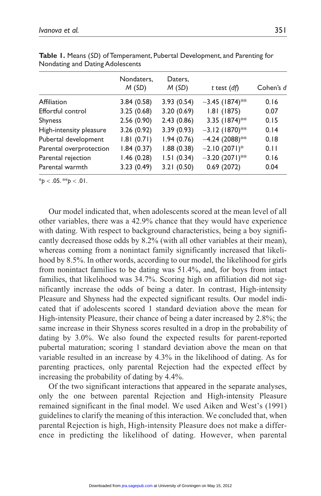|                         | Nondaters,<br>M(SD) | Daters.<br>M(SD) | t test $(df)$                | Cohen's d |
|-------------------------|---------------------|------------------|------------------------------|-----------|
| Affiliation             | 3.84(0.58)          | 3.93(0.54)       | $-3.45$ (1874)**             | 0.16      |
| Effortful control       | 3.25(0.68)          | 3.20(0.69)       | 1.81(1875)                   | 0.07      |
| <b>Shyness</b>          | 2.56(0.90)          | 2.43(0.86)       | 3.35 (1874)**                | 0.15      |
| High-intensity pleasure | 3.26(0.92)          | 3.39(0.93)       | $-3.12$ (1870) <sup>**</sup> | 0.14      |
| Pubertal development    | 1.81(0.71)          | 1.94(0.76)       | $-4.24$ (2088)**             | 0.18      |
| Parental overprotection | 1.84(0.37)          | 1.88(0.38)       | $-2.10(2071)$ <sup>*</sup>   | 0.11      |
| Parental rejection      | 1.46(0.28)          | 1.51(0.34)       | $-3.20(2071)$ **             | 0.16      |
| Parental warmth         | 3.23(0.49)          | 3.21(0.50)       | 0.69(2072)                   | 0.04      |

**Table 1.** Means (*SD*) of Temperament, Pubertal Development, and Parenting for Nondating and Dating Adolescents

 $*_{p}$  < .05.  $*_{p}$  < .01.

Our model indicated that, when adolescents scored at the mean level of all other variables, there was a 42.9% chance that they would have experience with dating. With respect to background characteristics, being a boy significantly decreased those odds by 8.2% (with all other variables at their mean), whereas coming from a nonintact family significantly increased that likelihood by 8.5%. In other words, according to our model, the likelihood for girls from nonintact families to be dating was 51.4%, and, for boys from intact families, that likelihood was 34.7%. Scoring high on affiliation did not significantly increase the odds of being a dater. In contrast, High-intensity Pleasure and Shyness had the expected significant results. Our model indicated that if adolescents scored 1 standard deviation above the mean for High-intensity Pleasure, their chance of being a dater increased by 2.8%; the same increase in their Shyness scores resulted in a drop in the probability of dating by 3.0%. We also found the expected results for parent-reported pubertal maturation; scoring 1 standard deviation above the mean on that variable resulted in an increase by 4.3% in the likelihood of dating. As for parenting practices, only parental Rejection had the expected effect by increasing the probability of dating by 4.4%.

Of the two significant interactions that appeared in the separate analyses, only the one between parental Rejection and High-intensity Pleasure remained significant in the final model. We used Aiken and West's (1991) guidelines to clarify the meaning of this interaction. We concluded that, when parental Rejection is high, High-intensity Pleasure does not make a difference in predicting the likelihood of dating. However, when parental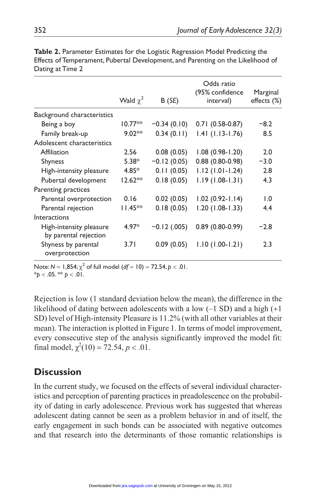|                                                  | Wald $\chi^2$ | B(SE)          | Odds ratio<br>(95% confidence<br>interval) | Marginal<br>effects (%) |
|--------------------------------------------------|---------------|----------------|--------------------------------------------|-------------------------|
| Background characteristics                       |               |                |                                            |                         |
| Being a boy                                      | $10.77**$     | $-0.34(0.10)$  | $0.71(0.58-0.87)$                          | $-8.2$                  |
| Family break-up                                  | $9.02**$      | 0.34(0.11)     | $1.41(1.13-1.76)$                          | 8.5                     |
| Adolescent characteristics                       |               |                |                                            |                         |
| Affiliation                                      | 2.56          | 0.08(0.05)     | $1.08(0.98-1.20)$                          | 2.0                     |
| <b>Shyness</b>                                   | $5.38*$       | $-0.12(0.05)$  | $0.88(0.80-0.98)$                          | $-3.0$                  |
| High-intensity pleasure                          | $4.85*$       | 0.11(0.05)     | $1.12(1.01-1.24)$                          | 2.8                     |
| Pubertal development                             | $12.62**$     | 0.18(0.05)     | $1.19(1.08-1.31)$                          | 4.3                     |
| Parenting practices                              |               |                |                                            |                         |
| Parental overprotection                          | 0.16          | 0.02(0.05)     | $1.02$ (0.92-1.14)                         | 1.0                     |
| Parental rejection                               | $11.45**$     | 0.18(0.05)     | $1.20(1.08-1.33)$                          | 4.4                     |
| Interactions                                     |               |                |                                            |                         |
| High-intensity pleasure<br>by parental rejection | $4.97*$       | $-0.12$ (.005) | $0.89(0.80-0.99)$                          | $-2.8$                  |
| Shyness by parental<br>overprotection            | 3.71          | 0.09(0.05)     | $1.10(1.00-1.21)$                          | 2.3                     |

**Table 2.** Parameter Estimates for the Logistic Regression Model Predicting the Effects of Temperament, Pubertal Development, and Parenting on the Likelihood of Dating at Time 2

Note:  $N = 1,854$ ;  $\chi^2$  of full model (*df* = 10) = 72.54,  $p < 01$ .

 $*_{p}$  < .05.  $*_{p}$  < .01.

Rejection is low (1 standard deviation below the mean), the difference in the likelihood of dating between adolescents with a low  $(-1 S D)$  and a high  $(+1$ SD) level of High-intensity Pleasure is 11.2% (with all other variables at their mean). The interaction is plotted in Figure 1. In terms of model improvement, every consecutive step of the analysis significantly improved the model fit: final model,  $\chi^2(10) = 72.54$ ,  $p < .01$ .

# **Discussion**

In the current study, we focused on the effects of several individual characteristics and perception of parenting practices in preadolescence on the probability of dating in early adolescence. Previous work has suggested that whereas adolescent dating cannot be seen as a problem behavior in and of itself, the early engagement in such bonds can be associated with negative outcomes and that research into the determinants of those romantic relationships is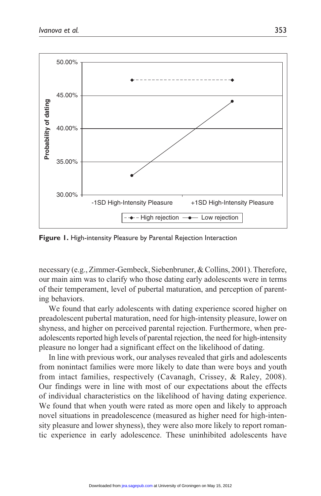

**Figure 1.** High-intensity Pleasure by Parental Rejection Interaction

necessary (e.g., Zimmer-Gembeck, Siebenbruner, & Collins, 2001). Therefore, our main aim was to clarify who those dating early adolescents were in terms of their temperament, level of pubertal maturation, and perception of parenting behaviors.

We found that early adolescents with dating experience scored higher on preadolescent pubertal maturation, need for high-intensity pleasure, lower on shyness, and higher on perceived parental rejection. Furthermore, when preadolescents reported high levels of parental rejection, the need for high-intensity pleasure no longer had a significant effect on the likelihood of dating.

In line with previous work, our analyses revealed that girls and adolescents from nonintact families were more likely to date than were boys and youth from intact families, respectively (Cavanagh, Crissey, & Raley, 2008). Our findings were in line with most of our expectations about the effects of individual characteristics on the likelihood of having dating experience. We found that when youth were rated as more open and likely to approach novel situations in preadolescence (measured as higher need for high-intensity pleasure and lower shyness), they were also more likely to report romantic experience in early adolescence. These uninhibited adolescents have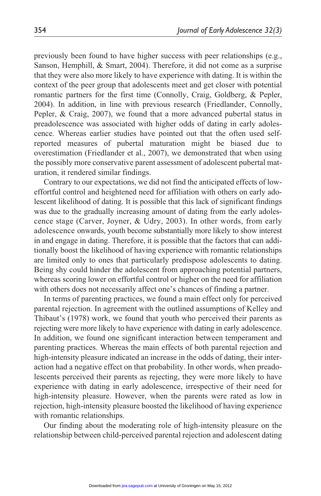previously been found to have higher success with peer relationships (e.g., Sanson, Hemphill, & Smart, 2004). Therefore, it did not come as a surprise that they were also more likely to have experience with dating. It is within the context of the peer group that adolescents meet and get closer with potential romantic partners for the first time (Connolly, Craig, Goldberg, & Pepler, 2004). In addition, in line with previous research (Friedlander, Connolly, Pepler, & Craig, 2007), we found that a more advanced pubertal status in preadolescence was associated with higher odds of dating in early adolescence. Whereas earlier studies have pointed out that the often used selfreported measures of pubertal maturation might be biased due to overestimation (Friedlander et al., 2007), we demonstrated that when using the possibly more conservative parent assessment of adolescent pubertal maturation, it rendered similar findings.

Contrary to our expectations, we did not find the anticipated effects of loweffortful control and heightened need for affiliation with others on early adolescent likelihood of dating. It is possible that this lack of significant findings was due to the gradually increasing amount of dating from the early adolescence stage (Carver, Joyner, & Udry, 2003). In other words, from early adolescence onwards, youth become substantially more likely to show interest in and engage in dating. Therefore, it is possible that the factors that can additionally boost the likelihood of having experience with romantic relationships are limited only to ones that particularly predispose adolescents to dating. Being shy could hinder the adolescent from approaching potential partners, whereas scoring lower on effortful control or higher on the need for affiliation with others does not necessarily affect one's chances of finding a partner.

In terms of parenting practices, we found a main effect only for perceived parental rejection. In agreement with the outlined assumptions of Kelley and Thibaut's (1978) work, we found that youth who perceived their parents as rejecting were more likely to have experience with dating in early adolescence. In addition, we found one significant interaction between temperament and parenting practices. Whereas the main effects of both parental rejection and high-intensity pleasure indicated an increase in the odds of dating, their interaction had a negative effect on that probability. In other words, when preadolescents perceived their parents as rejecting, they were more likely to have experience with dating in early adolescence, irrespective of their need for high-intensity pleasure. However, when the parents were rated as low in rejection, high-intensity pleasure boosted the likelihood of having experience with romantic relationships.

Our finding about the moderating role of high-intensity pleasure on the relationship between child-perceived parental rejection and adolescent dating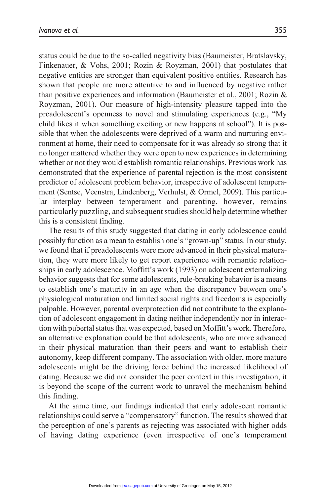status could be due to the so-called negativity bias (Baumeister, Bratslavsky, Finkenauer, & Vohs, 2001; Rozin & Royzman, 2001) that postulates that negative entities are stronger than equivalent positive entities. Research has shown that people are more attentive to and influenced by negative rather than positive experiences and information (Baumeister et al., 2001; Rozin & Royzman, 2001). Our measure of high-intensity pleasure tapped into the preadolescent's openness to novel and stimulating experiences (e.g., "My child likes it when something exciting or new happens at school"). It is possible that when the adolescents were deprived of a warm and nurturing environment at home, their need to compensate for it was already so strong that it no longer mattered whether they were open to new experiences in determining whether or not they would establish romantic relationships. Previous work has demonstrated that the experience of parental rejection is the most consistent predictor of adolescent problem behavior, irrespective of adolescent temperament (Sentse, Veenstra, Lindenberg, Verhulst, & Ormel, 2009). This particular interplay between temperament and parenting, however, remains particularly puzzling, and subsequent studies should help determine whether this is a consistent finding.

The results of this study suggested that dating in early adolescence could possibly function as a mean to establish one's "grown-up" status. In our study, we found that if preadolescents were more advanced in their physical maturation, they were more likely to get report experience with romantic relationships in early adolescence. Moffitt's work (1993) on adolescent externalizing behavior suggests that for some adolescents, rule-breaking behavior is a means to establish one's maturity in an age when the discrepancy between one's physiological maturation and limited social rights and freedoms is especially palpable. However, parental overprotection did not contribute to the explanation of adolescent engagement in dating neither independently nor in interaction with pubertal status that was expected, based on Moffitt's work. Therefore, an alternative explanation could be that adolescents, who are more advanced in their physical maturation than their peers and want to establish their autonomy, keep different company. The association with older, more mature adolescents might be the driving force behind the increased likelihood of dating. Because we did not consider the peer context in this investigation, it is beyond the scope of the current work to unravel the mechanism behind this finding.

At the same time, our findings indicated that early adolescent romantic relationships could serve a "compensatory" function. The results showed that the perception of one's parents as rejecting was associated with higher odds of having dating experience (even irrespective of one's temperament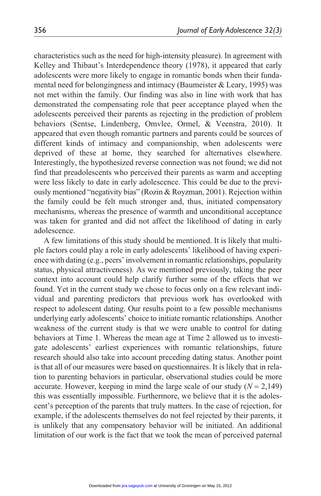characteristics such as the need for high-intensity pleasure). In agreement with Kelley and Thibaut's Interdependence theory (1978), it appeared that early adolescents were more likely to engage in romantic bonds when their fundamental need for belongingness and intimacy (Baumeister & Leary, 1995) was not met within the family. Our finding was also in line with work that has demonstrated the compensating role that peer acceptance played when the adolescents perceived their parents as rejecting in the prediction of problem behaviors (Sentse, Lindenberg, Omvlee, Ormel, & Veenstra, 2010). It appeared that even though romantic partners and parents could be sources of different kinds of intimacy and companionship, when adolescents were deprived of these at home, they searched for alternatives elsewhere. Interestingly, the hypothesized reverse connection was not found; we did not find that preadolescents who perceived their parents as warm and accepting were less likely to date in early adolescence. This could be due to the previously mentioned "negativity bias" (Rozin & Royzman, 2001). Rejection within the family could be felt much stronger and, thus, initiated compensatory mechanisms, whereas the presence of warmth and unconditional acceptance was taken for granted and did not affect the likelihood of dating in early adolescence.

A few limitations of this study should be mentioned. It is likely that multiple factors could play a role in early adolescents' likelihood of having experience with dating (e.g., peers' involvement in romantic relationships, popularity status, physical attractiveness). As we mentioned previously, taking the peer context into account could help clarify further some of the effects that we found. Yet in the current study we chose to focus only on a few relevant individual and parenting predictors that previous work has overlooked with respect to adolescent dating. Our results point to a few possible mechanisms underlying early adolescents' choice to initiate romantic relationships. Another weakness of the current study is that we were unable to control for dating behaviors at Time 1. Whereas the mean age at Time 2 allowed us to investigate adolescents' earliest experiences with romantic relationships, future research should also take into account preceding dating status. Another point is that all of our measures were based on questionnaires. It is likely that in relation to parenting behaviors in particular, observational studies could be more accurate. However, keeping in mind the large scale of our study  $(N = 2,149)$ this was essentially impossible. Furthermore, we believe that it is the adolescent's perception of the parents that truly matters. In the case of rejection, for example, if the adolescents themselves do not feel rejected by their parents, it is unlikely that any compensatory behavior will be initiated. An additional limitation of our work is the fact that we took the mean of perceived paternal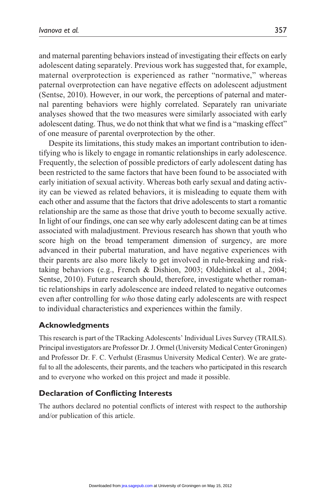and maternal parenting behaviors instead of investigating their effects on early adolescent dating separately. Previous work has suggested that, for example, maternal overprotection is experienced as rather "normative," whereas paternal overprotection can have negative effects on adolescent adjustment (Sentse, 2010). However, in our work, the perceptions of paternal and maternal parenting behaviors were highly correlated. Separately ran univariate analyses showed that the two measures were similarly associated with early adolescent dating. Thus, we do not think that what we find is a "masking effect" of one measure of parental overprotection by the other.

Despite its limitations, this study makes an important contribution to identifying who is likely to engage in romantic relationships in early adolescence. Frequently, the selection of possible predictors of early adolescent dating has been restricted to the same factors that have been found to be associated with early initiation of sexual activity. Whereas both early sexual and dating activity can be viewed as related behaviors, it is misleading to equate them with each other and assume that the factors that drive adolescents to start a romantic relationship are the same as those that drive youth to become sexually active. In light of our findings, one can see why early adolescent dating can be at times associated with maladjustment. Previous research has shown that youth who score high on the broad temperament dimension of surgency, are more advanced in their pubertal maturation, and have negative experiences with their parents are also more likely to get involved in rule-breaking and risktaking behaviors (e.g., French & Dishion, 2003; Oldehinkel et al., 2004; Sentse, 2010). Future research should, therefore, investigate whether romantic relationships in early adolescence are indeed related to negative outcomes even after controlling for *who* those dating early adolescents are with respect to individual characteristics and experiences within the family.

#### **Acknowledgments**

This research is part of the TRacking Adolescents' Individual Lives Survey (TRAILS). Principal investigators are Professor Dr. J. Ormel (University Medical Center Groningen) and Professor Dr. F. C. Verhulst (Erasmus University Medical Center). We are grateful to all the adolescents, their parents, and the teachers who participated in this research and to everyone who worked on this project and made it possible.

#### **Declaration of Conflicting Interests**

The authors declared no potential conflicts of interest with respect to the authorship and/or publication of this article.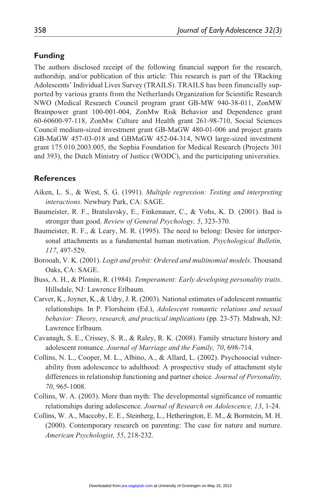#### **Funding**

The authors disclosed receipt of the following financial support for the research, authorship, and/or publication of this article: This research is part of the TRacking Adolescents' Individual Lives Survey (TRAILS). TRAILS has been financially supported by various grants from the Netherlands Organization for Scientific Research NWO (Medical Research Council program grant GB-MW 940-38-011, ZonMW Brainpower grant 100-001-004, ZonMw Risk Behavior and Dependence grant 60-60600-97-118, ZonMw Culture and Health grant 261-98-710, Social Sciences Council medium-sized investment grant GB-MaGW 480-01-006 and project grants GB-MaGW 457-03-018 and GBMaGW 452-04-314, NWO large-sized investment grant 175.010.2003.005, the Sophia Foundation for Medical Research (Projects 301 and 393), the Dutch Ministry of Justice (WODC), and the participating universities.

#### **References**

- Aiken, L. S., & West, S. G. (1991). *Multiple regression: Testing and interpreting interactions*. Newbury Park, CA: SAGE.
- Baumeister, R. F., Bratslavsky, E., Finkenauer, C., & Vohs, K. D. (2001). Bad is stronger than good. *Review of General Psychology, 5*, 323-370.
- Baumeister, R. F., & Leary, M. R. (1995). The need to belong: Desire for interpersonal attachments as a fundamental human motivation. *Psychological Bulletin, 117*, 497-529.
- Borooah, V. K. (2001). *Logit and probit: Ordered and multinomial models*. Thousand Oaks, CA: SAGE.
- Buss, A. H., & Plomin, R. (1984). *Temperament: Early developing personality traits*. Hillsdale, NJ: Lawrence Erlbaum.
- Carver, K., Joyner, K., & Udry, J. R. (2003). National estimates of adolescent romantic relationships. In P. Florsheim (Ed.), *Adolescent romantic relations and sexual behavior: Theory, research, and practical implications* (pp. 23-57). Mahwah, NJ: Lawrence Erlbaum.
- Cavanagh, S. E., Crissey, S. R., & Raley, R. K. (2008). Family structure history and adolescent romance. *Journal of Marriage and the Family, 70*, 698-714.
- Collins, N. L., Cooper, M. L., Albino, A., & Allard, L. (2002). Psychosocial vulnerability from adolescence to adulthood: A prospective study of attachment style differences in relationship functioning and partner choice. *Journal of Personality, 70*, 965-1008.
- Collins, W. A. (2003). More than myth: The developmental significance of romantic relationships during adolescence. *Journal of Research on Adolescence, 13*, 1-24.
- Collins, W. A., Maccoby, E. E., Steinberg, L., Hetherington, E. M., & Bornstein, M. H. (2000). Contemporary research on parenting: The case for nature and nurture. *American Psychologist, 55*, 218-232.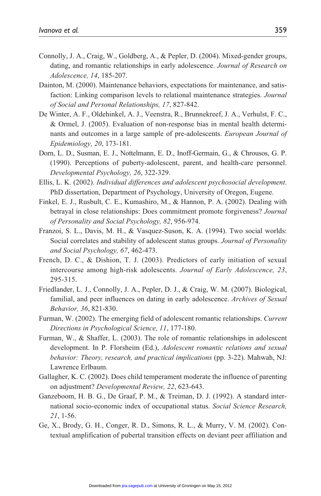- Connolly, J. A., Craig, W., Goldberg, A., & Pepler, D. (2004). Mixed-gender groups, dating, and romantic relationships in early adolescence. *Journal of Research on Adolescence, 14*, 185-207.
- Dainton, M. (2000). Maintenance behaviors, expectations for maintenance, and satisfaction: Linking comparison levels to relational maintenance strategies. *Journal of Social and Personal Relationships, 17*, 827-842.
- De Winter, A. F., Oldehinkel, A. J., Veenstra, R., Brunnekreef, J. A., Verhulst, F. C., & Ormel, J. (2005). Evaluation of non-response bias in mental health determinants and outcomes in a large sample of pre-adolescents. *European Journal of Epidemiology, 20*, 173-181.
- Dorn, L. D., Susman, E. J., Nottelmann, E. D., Inoff-Germain, G., & Chrousos, G. P. (1990). Perceptions of puberty-adolescent, parent, and health-care personnel. *Developmental Psychology, 26*, 322-329.
- Ellis, L. K. (2002). *Individual differences and adolescent psychosocial development*. PhD dissertation, Department of Psychology, University of Oregon, Eugene.
- Finkel, E. J., Rusbult, C. E., Kumashiro, M., & Hannon, P. A. (2002). Dealing with betrayal in close relationships: Does commitment promote forgiveness? *Journal of Personality and Social Psychology, 82*, 956-974.
- Franzoi, S. L., Davis, M. H., & Vasquez-Suson, K. A. (1994). Two social worlds: Social correlates and stability of adolescent status groups. *Journal of Personality and Social Psychology, 67*, 462-473.
- French, D. C., & Dishion, T. J. (2003). Predictors of early initiation of sexual intercourse among high-risk adolescents. *Journal of Early Adolescence, 23*, 295-315.
- Friedlander, L. J., Connolly, J. A., Pepler, D. J., & Craig, W. M. (2007). Biological, familial, and peer influences on dating in early adolescence. *Archives of Sexual Behavior, 36*, 821-830.
- Furman, W. (2002). The emerging field of adolescent romantic relationships. *Current Directions in Psychological Science, 11*, 177-180.
- Furman, W., & Shaffer, L. (2003). The role of romantic relationships in adolescent development. In P. Florsheim (Ed.), *Adolescent romantic relations and sexual behavior: Theory, research, and practical implications* (pp. 3-22). Mahwah, NJ: Lawrence Erlbaum.
- Gallagher, K. C. (2002). Does child temperament moderate the influence of parenting on adjustment? *Developmental Review, 22*, 623-643.
- Ganzeboom, H. B. G., De Graaf, P. M., & Treiman, D. J. (1992). A standard international socio-economic index of occupational status. *Social Science Research, 21*, 1-56.
- Ge, X., Brody, G. H., Conger, R. D., Simons, R. L., & Murry, V. M. (2002). Contextual amplification of pubertal transition effects on deviant peer affiliation and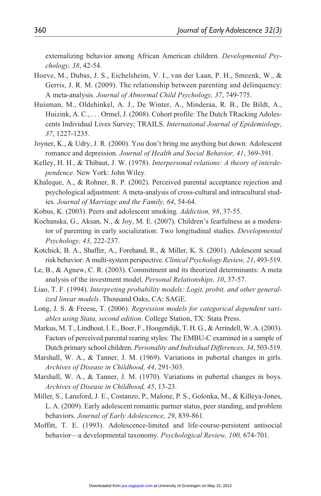externalizing behavior among African American children. *Developmental Psychology, 38*, 42-54.

- Hoeve, M., Dubas, J. S., Eichelsheim, V. I., van der Laan, P. H., Smeenk, W., & Gerris, J. R. M. (2009). The relationship between parenting and delinquency: A meta-analysis. *Journal of Abnormal Child Psychology, 37*, 749-775.
- Huisman, M., Oldehinkel, A. J., De Winter, A., Minderaa, R. B., De Bildt, A., Huizink, A. C., . . . Ormel, J. (2008). Cohort profile: The Dutch TRacking Adolescents Individual Lives Survey; TRAILS. *International Journal of Epidemiology, 37*, 1227-1235.
- Joyner, K., & Udry, J. R. (2000). You don't bring me anything but down: Adolescent romance and depression. *Journal of Health and Social Behavior, 41*, 369-391.
- Kelley, H. H., & Thibaut, J. W. (1978). *Interpersonal relations: A theory of interdependence*. New York: John Wiley.
- Khaleque, A., & Rohner, R. P. (2002). Perceived parental acceptance rejection and psychological adjustment: A meta-analysis of cross-cultural and intracultural studies. *Journal of Marriage and the Family, 64*, 54-64.
- Kobus, K. (2003). Peers and adolescent smoking. *Addiction, 98*, 37-55.
- Kochanska, G., Aksan, N., & Joy, M. E. (2007). Children's fearfulness as a moderator of parenting in early socialization: Two longitudinal studies. *Developmental Psychology, 43*, 222-237.
- Kotchick, B. A., Shaffer, A., Forehand, R., & Miller, K. S. (2001). Adolescent sexual risk behavior: A multi-system perspective. *Clinical Psychology Review, 21*, 493-519.
- Le, B., & Agnew, C. R. (2003). Commitment and its theorized determinants: A meta analysis of the investment model. *Personal Relationships, 10*, 37-57.
- Liao, T. F. (1994). *Interpreting probability models: Logit, probit, and other general*ized linear models. Thousand Oaks, CA: SAGE.
- Long, J. S. & Freese, T. (2006). *Regression models for categorical dependent variables using Stata, second edition*. College Station, TX: Stata Press.
- Markus, M. T., Lindhout, I. E., Boer, F., Hoogendijk, T. H. G., & Arrindell, W. A. (2003). Factors of perceived parental rearing styles: The EMBU-C examined in a sample of Dutch primary school children. *Personality and Individual Differences, 34*, 503-519.
- Marshall, W. A., & Tanner, J. M. (1969). Variations in pubertal changes in girls. *Archives of Disease in Childhood, 44*, 291-303.
- Marshall, W. A., & Tanner, J. M. (1970). Variations in pubertal changes in boys. *Archives of Disease in Childhood, 45*, 13-23.
- Miller, S., Lansford, J. E., Costanzo, P., Malone, P. S., Golonka, M., & Killeya-Jones, L. A. (2009). Early adolescent romantic partner status, peer standing, and problem behaviors. *Journal of Early Adolescence, 29*, 839-861.
- Moffitt, T. E. (1993). Adolescence-limited and life-course-persistent antisocial behavior—a developmental taxonomy. *Psychological Review, 100,* 674-701.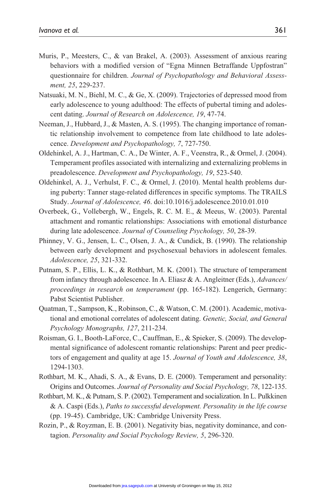- Muris, P., Meesters, C., & van Brakel, A. (2003). Assessment of anxious rearing behaviors with a modified version of "Egna Minnen Betraffande Uppfostran" questionnaire for children. *Journal of Psychopathology and Behavioral Assessment, 25*, 229-237.
- Natsuaki, M. N., Biehl, M. C., & Ge, X. (2009). Trajectories of depressed mood from early adolescence to young adulthood: The effects of pubertal timing and adolescent dating. *Journal of Research on Adolescence, 19*, 47-74.
- Neeman, J., Hubbard, J., & Masten, A. S. (1995). The changing importance of romantic relationship involvement to competence from late childhood to late adolescence. *Development and Psychopathology, 7*, 727-750.
- Oldehinkel, A. J., Hartman, C. A., De Winter, A. F., Veenstra, R., & Ormel, J. (2004). Temperament profiles associated with internalizing and externalizing problems in preadolescence. *Development and Psychopathology, 19*, 523-540.
- Oldehinkel, A. J., Verhulst, F. C., & Ormel, J. (2010). Mental health problems during puberty: Tanner stage-related differences in specific symptoms. The TRAILS Study. *Journal of Adolescence, 46*. doi:10.1016/j.adolescence.2010.01.010
- Overbeek, G., Vollebergh, W., Engels, R. C. M. E., & Meeus, W. (2003). Parental attachment and romantic relationships: Associations with emotional disturbance during late adolescence. *Journal of Counseling Psychology, 50*, 28-39.
- Phinney, V. G., Jensen, L. C., Olsen, J. A., & Cundick, B. (1990). The relationship between early development and psychosexual behaviors in adolescent females. *Adolescence, 25*, 321-332.
- Putnam, S. P., Ellis, L. K., & Rothbart, M. K. (2001). The structure of temperament from infancy through adolescence. In A. Eliasz & A. Angleitner (Eds.), *Advances/ proceedings in research on temperament* (pp. 165-182). Lengerich, Germany: Pabst Scientist Publisher.
- Quatman, T., Sampson, K., Robinson, C., & Watson, C. M. (2001). Academic, motivational and emotional correlates of adolescent dating. *Genetic, Social, and General Psychology Monographs, 127*, 211-234.
- Roisman, G. I., Booth-LaForce, C., Cauffman, E., & Spieker, S. (2009). The developmental significance of adolescent romantic relationships: Parent and peer predictors of engagement and quality at age 15. *Journal of Youth and Adolescence, 38*, 1294-1303.
- Rothbart, M. K., Ahadi, S. A., & Evans, D. E. (2000). Temperament and personality: Origins and Outcomes. *Journal of Personality and Social Psychology, 78*, 122-135.
- Rothbart, M. K., & Putnam, S. P. (2002). Temperament and socialization. In L. Pulkkinen & A. Caspi (Eds.), *Paths to successful development. Personality in the life course* (pp. 19-45). Cambridge, UK: Cambridge University Press.
- Rozin, P., & Royzman, E. B. (2001). Negativity bias, negativity dominance, and contagion. *Personality and Social Psychology Review, 5*, 296-320.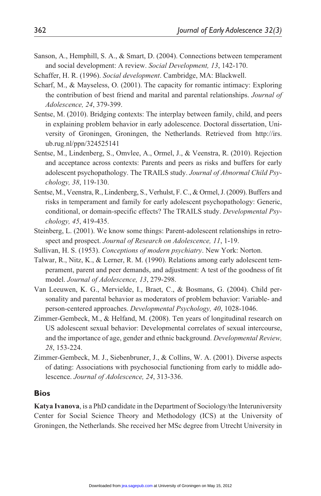- Sanson, A., Hemphill, S. A., & Smart, D. (2004). Connections between temperament and social development: A review. *Social Development, 13*, 142-170.
- Schaffer, H. R. (1996). *Social development*. Cambridge, MA: Blackwell.
- Scharf, M., & Mayseless, O. (2001). The capacity for romantic intimacy: Exploring the contribution of best friend and marital and parental relationships. *Journal of Adolescence, 24*, 379-399.
- Sentse, M. (2010). Bridging contexts: The interplay between family, child, and peers in explaining problem behavior in early adolescence. Doctoral dissertation, University of Groningen, Groningen, the Netherlands. Retrieved from http://irs. ub.rug.nl/ppn/324525141
- Sentse, M., Lindenberg, S., Omvlee, A., Ormel, J., & Veenstra, R. (2010). Rejection and acceptance across contexts: Parents and peers as risks and buffers for early adolescent psychopathology. The TRAILS study. *Journal of Abnormal Child Psychology, 38*, 119-130.
- Sentse, M., Veenstra, R., Lindenberg, S., Verhulst, F. C., & Ormel, J. (2009). Buffers and risks in temperament and family for early adolescent psychopathology: Generic, conditional, or domain-specific effects? The TRAILS study. *Developmental Psychology, 45*, 419-435.
- Steinberg, L. (2001). We know some things: Parent-adolescent relationships in retrospect and prospect. *Journal of Research on Adolescence, 11*, 1-19.
- Sullivan, H. S. (1953). *Conceptions of modern psychiatry*. New York: Norton.
- Talwar, R., Nitz, K., & Lerner, R. M. (1990). Relations among early adolescent temperament, parent and peer demands, and adjustment: A test of the goodness of fit model. *Journal of Adolescence, 13*, 279-298.
- Van Leeuwen, K. G., Mervielde, I., Braet, C., & Bosmans, G. (2004). Child personality and parental behavior as moderators of problem behavior: Variable- and person-centered approaches. *Developmental Psychology, 40*, 1028-1046.
- Zimmer-Gembeck, M., & Helfand, M. (2008). Ten years of longitudinal research on US adolescent sexual behavior: Developmental correlates of sexual intercourse, and the importance of age, gender and ethnic background. *Developmental Review, 28*, 153-224.
- Zimmer-Gembeck, M. J., Siebenbruner, J., & Collins, W. A. (2001). Diverse aspects of dating: Associations with psychosocial functioning from early to middle adolescence. *Journal of Adolescence, 24*, 313-336.

#### **Bios**

**Katya Ivanova**, is a PhD candidate in the Department of Sociology/the Interuniversity Center for Social Science Theory and Methodology (ICS) at the University of Groningen, the Netherlands. She received her MSc degree from Utrecht University in